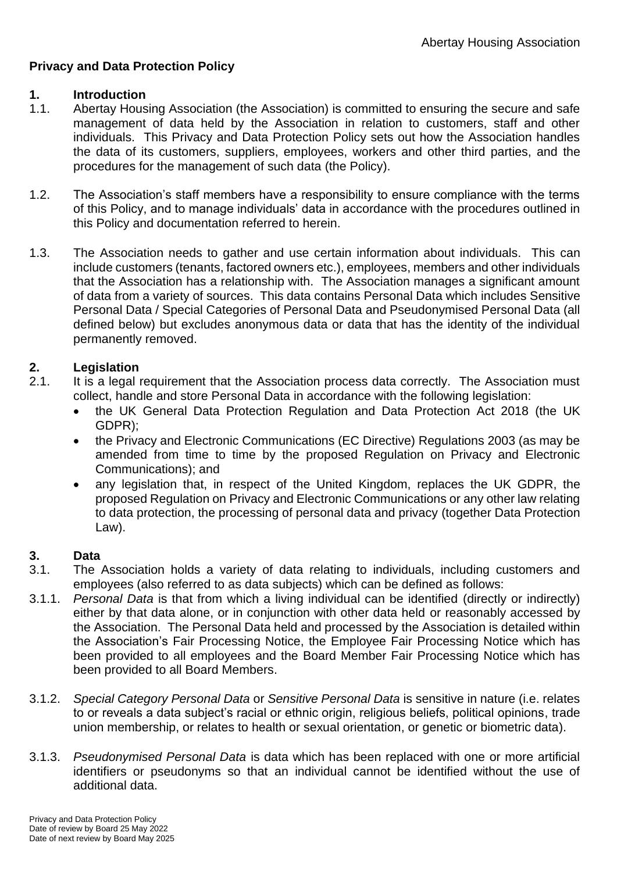# **Privacy and Data Protection Policy**

## **1. Introduction**

- 1.1. Abertay Housing Association (the Association) is committed to ensuring the secure and safe management of data held by the Association in relation to customers, staff and other individuals. This Privacy and Data Protection Policy sets out how the Association handles the data of its customers, suppliers, employees, workers and other third parties, and the procedures for the management of such data (the Policy).
- 1.2. The Association's staff members have a responsibility to ensure compliance with the terms of this Policy, and to manage individuals' data in accordance with the procedures outlined in this Policy and documentation referred to herein.
- 1.3. The Association needs to gather and use certain information about individuals. This can include customers (tenants, factored owners etc.), employees, members and other individuals that the Association has a relationship with. The Association manages a significant amount of data from a variety of sources. This data contains Personal Data which includes Sensitive Personal Data / Special Categories of Personal Data and Pseudonymised Personal Data (all defined below) but excludes anonymous data or data that has the identity of the individual permanently removed.

# **2. Legislation**

- 2.1. It is a legal requirement that the Association process data correctly. The Association must collect, handle and store Personal Data in accordance with the following legislation:
	- the UK General Data Protection Regulation and Data Protection Act 2018 (the UK GDPR);
	- the Privacy and Electronic Communications (EC Directive) Regulations 2003 (as may be amended from time to time by the proposed Regulation on Privacy and Electronic Communications); and
	- any legislation that, in respect of the United Kingdom, replaces the UK GDPR, the proposed Regulation on Privacy and Electronic Communications or any other law relating to data protection, the processing of personal data and privacy (together Data Protection Law).

### **3. Data**

- 3.1. The Association holds a variety of data relating to individuals, including customers and employees (also referred to as data subjects) which can be defined as follows:
- 3.1.1. *Personal Data* is that from which a living individual can be identified (directly or indirectly) either by that data alone, or in conjunction with other data held or reasonably accessed by the Association. The Personal Data held and processed by the Association is detailed within the Association's Fair Processing Notice, the Employee Fair Processing Notice which has been provided to all employees and the Board Member Fair Processing Notice which has been provided to all Board Members.
- 3.1.2. *Special Category Personal Data* or *Sensitive Personal Data* is sensitive in nature (i.e. relates to or reveals a data subject's racial or ethnic origin, religious beliefs, political opinions, trade union membership, or relates to health or sexual orientation, or genetic or biometric data).
- 3.1.3. *Pseudonymised Personal Data* is data which has been replaced with one or more artificial identifiers or pseudonyms so that an individual cannot be identified without the use of additional data.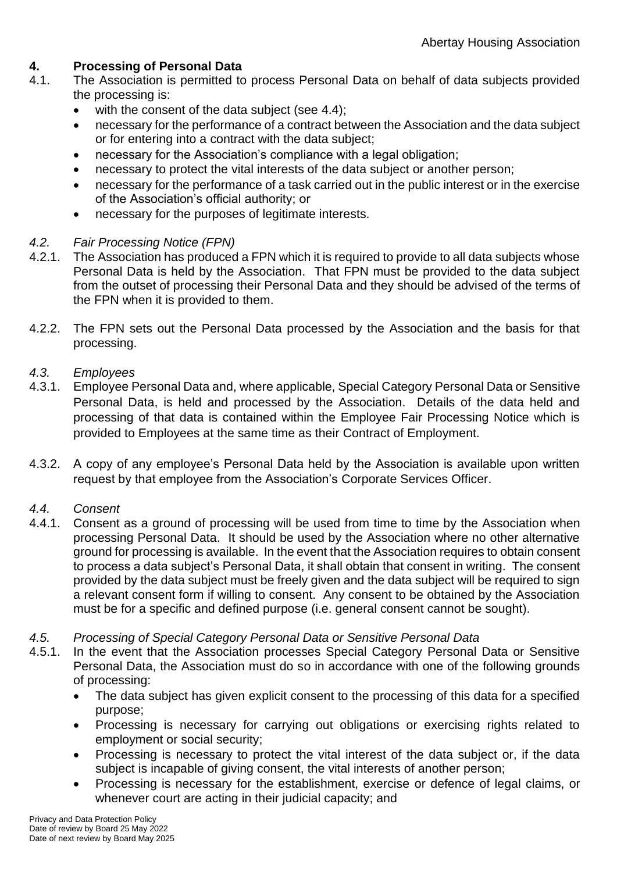## **4. Processing of Personal Data**

- 4.1. The Association is permitted to process Personal Data on behalf of data subjects provided the processing is:
	- with the consent of the data subject (see 4.4);
	- necessary for the performance of a contract between the Association and the data subject or for entering into a contract with the data subject;
	- necessary for the Association's compliance with a legal obligation:
	- necessary to protect the vital interests of the data subject or another person;
	- necessary for the performance of a task carried out in the public interest or in the exercise of the Association's official authority; or
	- necessary for the purposes of legitimate interests.

## *4.2. Fair Processing Notice (FPN)*

- 4.2.1. The Association has produced a FPN which it is required to provide to all data subjects whose Personal Data is held by the Association. That FPN must be provided to the data subject from the outset of processing their Personal Data and they should be advised of the terms of the FPN when it is provided to them.
- 4.2.2. The FPN sets out the Personal Data processed by the Association and the basis for that processing.

## *4.3. Employees*

- 4.3.1. Employee Personal Data and, where applicable, Special Category Personal Data or Sensitive Personal Data, is held and processed by the Association. Details of the data held and processing of that data is contained within the Employee Fair Processing Notice which is provided to Employees at the same time as their Contract of Employment.
- 4.3.2. A copy of any employee's Personal Data held by the Association is available upon written request by that employee from the Association's Corporate Services Officer.

# *4.4. Consent*

- Consent as a ground of processing will be used from time to time by the Association when processing Personal Data. It should be used by the Association where no other alternative ground for processing is available. In the event that the Association requires to obtain consent to process a data subject's Personal Data, it shall obtain that consent in writing. The consent provided by the data subject must be freely given and the data subject will be required to sign a relevant consent form if willing to consent. Any consent to be obtained by the Association must be for a specific and defined purpose (i.e. general consent cannot be sought).
- *4.5. Processing of Special Category Personal Data or Sensitive Personal Data*
- 4.5.1. In the event that the Association processes Special Category Personal Data or Sensitive Personal Data, the Association must do so in accordance with one of the following grounds of processing:
	- The data subject has given explicit consent to the processing of this data for a specified purpose;
	- Processing is necessary for carrying out obligations or exercising rights related to employment or social security;
	- Processing is necessary to protect the vital interest of the data subject or, if the data subject is incapable of giving consent, the vital interests of another person;
	- Processing is necessary for the establishment, exercise or defence of legal claims, or whenever court are acting in their judicial capacity; and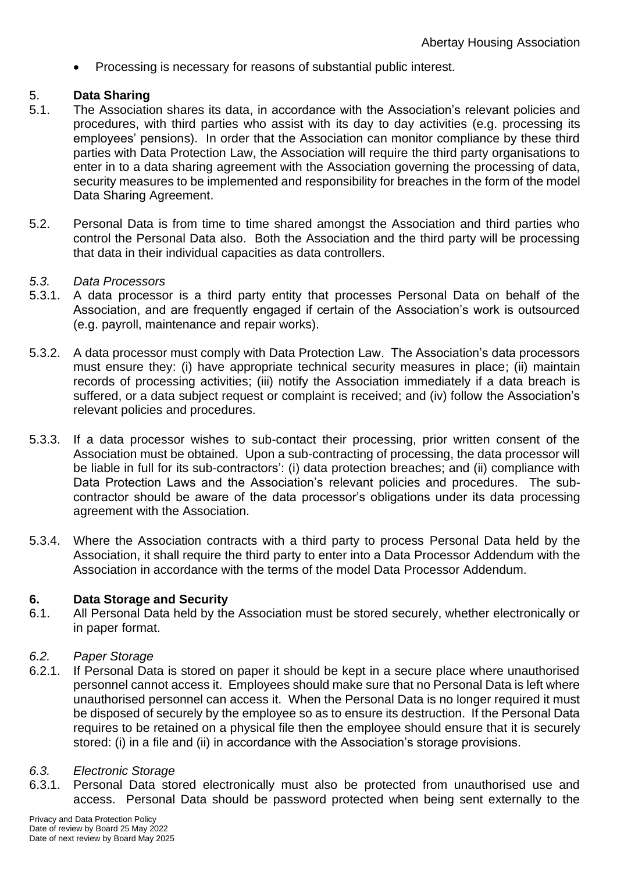• Processing is necessary for reasons of substantial public interest.

## 5. **Data Sharing**

- 5.1. The Association shares its data, in accordance with the Association's relevant policies and procedures, with third parties who assist with its day to day activities (e.g. processing its employees' pensions). In order that the Association can monitor compliance by these third parties with Data Protection Law, the Association will require the third party organisations to enter in to a data sharing agreement with the Association governing the processing of data, security measures to be implemented and responsibility for breaches in the form of the model Data Sharing Agreement.
- 5.2. Personal Data is from time to time shared amongst the Association and third parties who control the Personal Data also. Both the Association and the third party will be processing that data in their individual capacities as data controllers.

### *5.3. Data Processors*

- 5.3.1. A data processor is a third party entity that processes Personal Data on behalf of the Association, and are frequently engaged if certain of the Association's work is outsourced (e.g. payroll, maintenance and repair works).
- 5.3.2. A data processor must comply with Data Protection Law. The Association's data processors must ensure they: (i) have appropriate technical security measures in place; (ii) maintain records of processing activities; (iii) notify the Association immediately if a data breach is suffered, or a data subject request or complaint is received; and (iv) follow the Association's relevant policies and procedures.
- 5.3.3. If a data processor wishes to sub-contact their processing, prior written consent of the Association must be obtained. Upon a sub-contracting of processing, the data processor will be liable in full for its sub-contractors': (i) data protection breaches; and (ii) compliance with Data Protection Laws and the Association's relevant policies and procedures. The subcontractor should be aware of the data processor's obligations under its data processing agreement with the Association.
- 5.3.4. Where the Association contracts with a third party to process Personal Data held by the Association, it shall require the third party to enter into a Data Processor Addendum with the Association in accordance with the terms of the model Data Processor Addendum.

### **6. Data Storage and Security**

6.1. All Personal Data held by the Association must be stored securely, whether electronically or in paper format.

### *6.2. Paper Storage*

6.2.1. If Personal Data is stored on paper it should be kept in a secure place where unauthorised personnel cannot access it. Employees should make sure that no Personal Data is left where unauthorised personnel can access it. When the Personal Data is no longer required it must be disposed of securely by the employee so as to ensure its destruction. If the Personal Data requires to be retained on a physical file then the employee should ensure that it is securely stored: (i) in a file and (ii) in accordance with the Association's storage provisions.

### *6.3. Electronic Storage*

6.3.1. Personal Data stored electronically must also be protected from unauthorised use and access. Personal Data should be password protected when being sent externally to the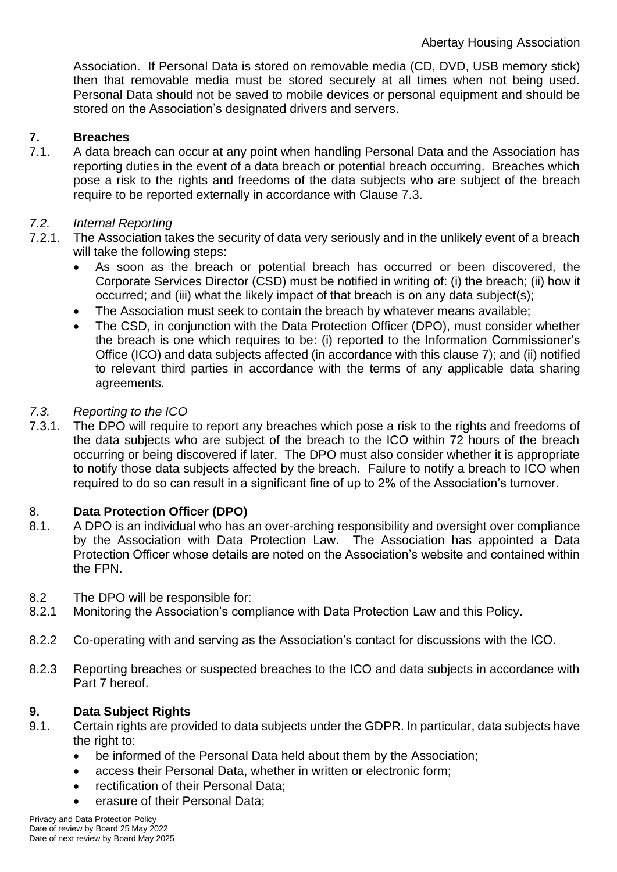Association. If Personal Data is stored on removable media (CD, DVD, USB memory stick) then that removable media must be stored securely at all times when not being used. Personal Data should not be saved to mobile devices or personal equipment and should be stored on the Association's designated drivers and servers.

# **7. Breaches**

7.1. A data breach can occur at any point when handling Personal Data and the Association has reporting duties in the event of a data breach or potential breach occurring. Breaches which pose a risk to the rights and freedoms of the data subjects who are subject of the breach require to be reported externally in accordance with Clause 7.3.

# *7.2. Internal Reporting*

- 7.2.1. The Association takes the security of data very seriously and in the unlikely event of a breach will take the following steps:
	- As soon as the breach or potential breach has occurred or been discovered, the Corporate Services Director (CSD) must be notified in writing of: (i) the breach; (ii) how it occurred; and (iii) what the likely impact of that breach is on any data subject(s);
	- The Association must seek to contain the breach by whatever means available;
	- The CSD, in conjunction with the Data Protection Officer (DPO), must consider whether the breach is one which requires to be: (i) reported to the Information Commissioner's Office (ICO) and data subjects affected (in accordance with this clause 7); and (ii) notified to relevant third parties in accordance with the terms of any applicable data sharing agreements.

# *7.3. Reporting to the ICO*

7.3.1. The DPO will require to report any breaches which pose a risk to the rights and freedoms of the data subjects who are subject of the breach to the ICO within 72 hours of the breach occurring or being discovered if later. The DPO must also consider whether it is appropriate to notify those data subjects affected by the breach. Failure to notify a breach to ICO when required to do so can result in a significant fine of up to 2% of the Association's turnover.

# 8. **Data Protection Officer (DPO)**

- 8.1. A DPO is an individual who has an over-arching responsibility and oversight over compliance by the Association with Data Protection Law. The Association has appointed a Data Protection Officer whose details are noted on the Association's website and contained within the FPN.
- 8.2 The DPO will be responsible for:
- 8.2.1 Monitoring the Association's compliance with Data Protection Law and this Policy.
- 8.2.2 Co-operating with and serving as the Association's contact for discussions with the ICO.
- 8.2.3 Reporting breaches or suspected breaches to the ICO and data subjects in accordance with Part 7 hereof.

# **9. Data Subject Rights**

- 9.1. Certain rights are provided to data subjects under the GDPR. In particular, data subjects have the right to:
	- be informed of the Personal Data held about them by the Association;
	- access their Personal Data, whether in written or electronic form;
	- rectification of their Personal Data;
	- erasure of their Personal Data:

Privacy and Data Protection Policy Date of review by Board 25 May 2022 Date of next review by Board May 2025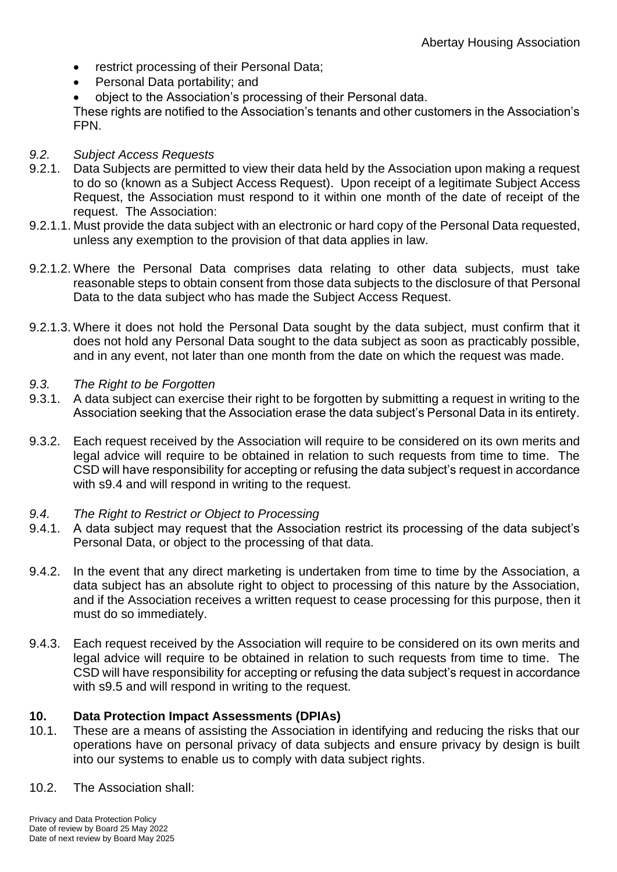- restrict processing of their Personal Data;
- Personal Data portability; and
- object to the Association's processing of their Personal data.

These rights are notified to the Association's tenants and other customers in the Association's FPN.

### *9.2. Subject Access Requests*

- 9.2.1. Data Subjects are permitted to view their data held by the Association upon making a request to do so (known as a Subject Access Request). Upon receipt of a legitimate Subject Access Request, the Association must respond to it within one month of the date of receipt of the request. The Association:
- 9.2.1.1. Must provide the data subject with an electronic or hard copy of the Personal Data requested, unless any exemption to the provision of that data applies in law.
- 9.2.1.2. Where the Personal Data comprises data relating to other data subjects, must take reasonable steps to obtain consent from those data subjects to the disclosure of that Personal Data to the data subject who has made the Subject Access Request.
- 9.2.1.3. Where it does not hold the Personal Data sought by the data subject, must confirm that it does not hold any Personal Data sought to the data subject as soon as practicably possible, and in any event, not later than one month from the date on which the request was made.
- *9.3. The Right to be Forgotten*
- 9.3.1. A data subject can exercise their right to be forgotten by submitting a request in writing to the Association seeking that the Association erase the data subject's Personal Data in its entirety.
- 9.3.2. Each request received by the Association will require to be considered on its own merits and legal advice will require to be obtained in relation to such requests from time to time. The CSD will have responsibility for accepting or refusing the data subject's request in accordance with s9.4 and will respond in writing to the request.
- *9.4. The Right to Restrict or Object to Processing*
- 9.4.1. A data subject may request that the Association restrict its processing of the data subject's Personal Data, or object to the processing of that data.
- 9.4.2. In the event that any direct marketing is undertaken from time to time by the Association, a data subject has an absolute right to object to processing of this nature by the Association, and if the Association receives a written request to cease processing for this purpose, then it must do so immediately.
- 9.4.3. Each request received by the Association will require to be considered on its own merits and legal advice will require to be obtained in relation to such requests from time to time. The CSD will have responsibility for accepting or refusing the data subject's request in accordance with s9.5 and will respond in writing to the request.

### **10. Data Protection Impact Assessments (DPIAs)**

- 10.1. These are a means of assisting the Association in identifying and reducing the risks that our operations have on personal privacy of data subjects and ensure privacy by design is built into our systems to enable us to comply with data subject rights.
- 10.2. The Association shall: